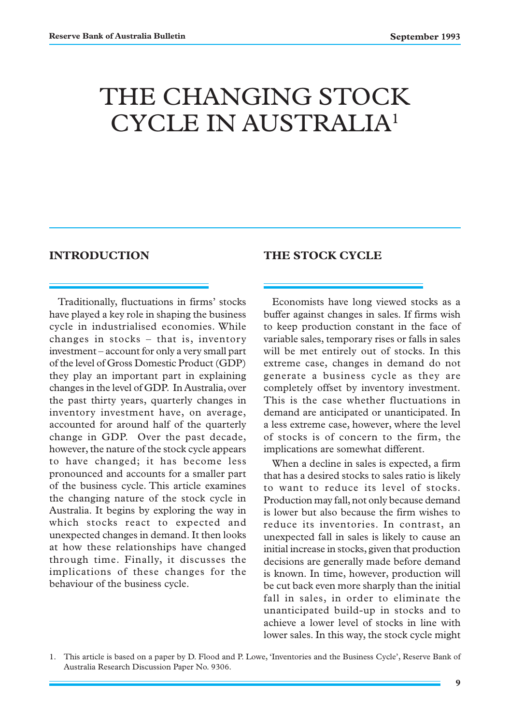# THE CHANGING STOCK CYCLE IN AUSTRALIA1

## **INTRODUCTION**

### **THE STOCK CYCLE**

Traditionally, fluctuations in firms' stocks have played a key role in shaping the business cycle in industrialised economies. While changes in stocks – that is, inventory investment – account for only a very small part of the level of Gross Domestic Product (GDP) they play an important part in explaining changes in the level of GDP. In Australia, over the past thirty years, quarterly changes in inventory investment have, on average, accounted for around half of the quarterly change in GDP. Over the past decade, however, the nature of the stock cycle appears to have changed; it has become less pronounced and accounts for a smaller part of the business cycle. This article examines the changing nature of the stock cycle in Australia. It begins by exploring the way in which stocks react to expected and unexpected changes in demand. It then looks at how these relationships have changed through time. Finally, it discusses the implications of these changes for the behaviour of the business cycle.

Economists have long viewed stocks as a buffer against changes in sales. If firms wish to keep production constant in the face of variable sales, temporary rises or falls in sales will be met entirely out of stocks. In this extreme case, changes in demand do not generate a business cycle as they are completely offset by inventory investment. This is the case whether fluctuations in demand are anticipated or unanticipated. In a less extreme case, however, where the level of stocks is of concern to the firm, the implications are somewhat different.

When a decline in sales is expected, a firm that has a desired stocks to sales ratio is likely to want to reduce its level of stocks. Production may fall, not only because demand is lower but also because the firm wishes to reduce its inventories. In contrast, an unexpected fall in sales is likely to cause an initial increase in stocks, given that production decisions are generally made before demand is known. In time, however, production will be cut back even more sharply than the initial fall in sales, in order to eliminate the unanticipated build-up in stocks and to achieve a lower level of stocks in line with lower sales. In this way, the stock cycle might

<sup>1.</sup> This article is based on a paper by D. Flood and P. Lowe, 'Inventories and the Business Cycle', Reserve Bank of Australia Research Discussion Paper No. 9306.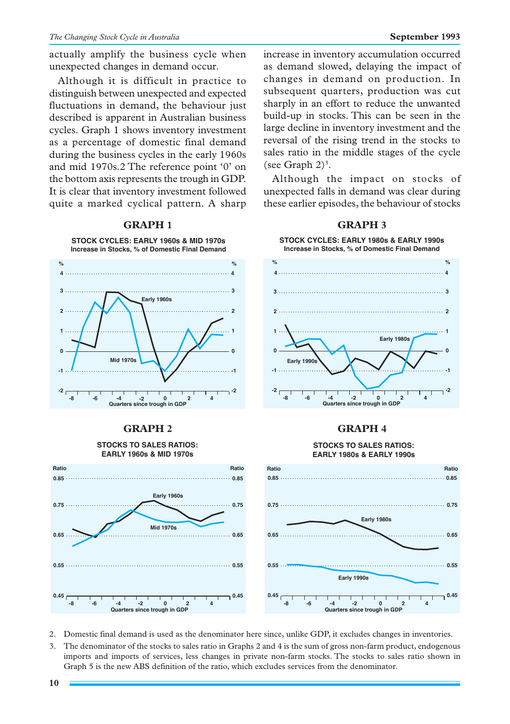actually amplify the business cycle when unexpected changes in demand occur.

Although it is difficult in practice to distinguish between unexpected and expected fluctuations in demand, the behaviour just described is apparent in Australian business cycles. Graph 1 shows inventory investment as a percentage of domestic final demand during the business cycles in the early 1960s and mid 1970s.2 The reference point '0' on the bottom axis represents the trough in GDP. It is clear that inventory investment followed quite a marked cyclical pattern. A sharp



### **GRAPH 1 GRAPH 3**

increase in inventory accumulation occurred as demand slowed, delaying the impact of changes in demand on production. In subsequent quarters, production was cut sharply in an effort to reduce the unwanted build-up in stocks. This can be seen in the large decline in inventory investment and the reversal of the rising trend in the stocks to sales ratio in the middle stages of the cycle (see Graph  $2)^3$ .

Although the impact on stocks of unexpected falls in demand was clear during these earlier episodes, the behaviour of stocks



# **GRAPH 2 GRAPH 4**

#### **STOCKS TO SALES RATIOS: EARLY 1980s & EARLY 1990s**



# **EARLY 1960s & MID 1970s Early 1960s 0.85 0.85**

**STOCKS TO SALES RATIOS:**

**0.45 0.55 0.65 0.75 0.45 0.55 0.65 0.75 -8 -4 -2 0 -6 2 4 Quarters since trough in GDP Mid 1970s**

2. Domestic final demand is used as the denominator here since, unlike GDP, it excludes changes in inventories.

**Ratio**

3. The denominator of the stocks to sales ratio in Graphs 2 and 4 is the sum of gross non-farm product, endogenous imports and imports of services, less changes in private non-farm stocks. The stocks to sales ratio shown in Graph 5 is the new ABS definition of the ratio, which excludes services from the denominator.

**Ratio**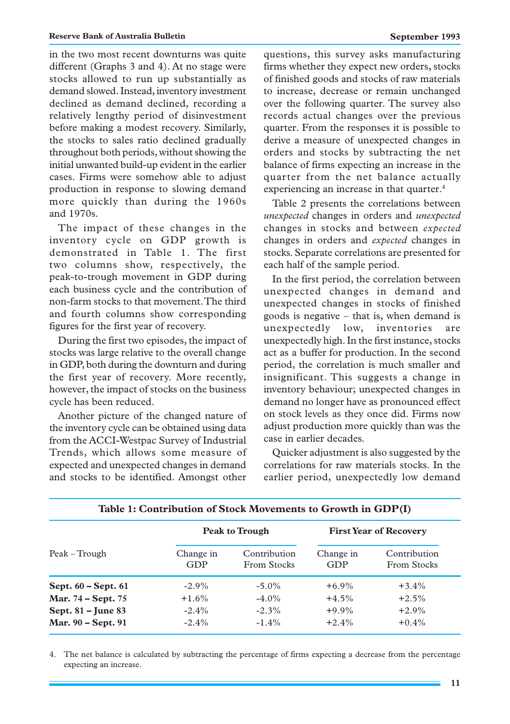in the two most recent downturns was quite different (Graphs 3 and 4). At no stage were stocks allowed to run up substantially as demand slowed. Instead, inventory investment declined as demand declined, recording a relatively lengthy period of disinvestment before making a modest recovery. Similarly, the stocks to sales ratio declined gradually throughout both periods, without showing the initial unwanted build-up evident in the earlier cases. Firms were somehow able to adjust production in response to slowing demand more quickly than during the 1960s and 1970s.

The impact of these changes in the inventory cycle on GDP growth is demonstrated in Table 1. The first two columns show, respectively, the peak-to-trough movement in GDP during each business cycle and the contribution of non-farm stocks to that movement. The third and fourth columns show corresponding figures for the first year of recovery.

During the first two episodes, the impact of stocks was large relative to the overall change in GDP, both during the downturn and during the first year of recovery. More recently, however, the impact of stocks on the business cycle has been reduced.

Another picture of the changed nature of the inventory cycle can be obtained using data from the ACCI-Westpac Survey of Industrial Trends, which allows some measure of expected and unexpected changes in demand and stocks to be identified. Amongst other questions, this survey asks manufacturing firms whether they expect new orders, stocks of finished goods and stocks of raw materials to increase, decrease or remain unchanged over the following quarter. The survey also records actual changes over the previous quarter. From the responses it is possible to derive a measure of unexpected changes in orders and stocks by subtracting the net balance of firms expecting an increase in the quarter from the net balance actually experiencing an increase in that quarter.<sup>4</sup>

Table 2 presents the correlations between *unexpected* changes in orders and *unexpected* changes in stocks and between *expected* changes in orders and *expected* changes in stocks. Separate correlations are presented for each half of the sample period.

In the first period, the correlation between unexpected changes in demand and unexpected changes in stocks of finished goods is negative – that is, when demand is unexpectedly low, inventories are unexpectedly high. In the first instance, stocks act as a buffer for production. In the second period, the correlation is much smaller and insignificant. This suggests a change in inventory behaviour; unexpected changes in demand no longer have as pronounced effect on stock levels as they once did. Firms now adjust production more quickly than was the case in earlier decades.

Quicker adjustment is also suggested by the correlations for raw materials stocks. In the earlier period, unexpectedly low demand

|                         | <b>Peak to Trough</b> |                             | <b>First Year of Recovery</b> |                             |
|-------------------------|-----------------------|-----------------------------|-------------------------------|-----------------------------|
|                         |                       |                             |                               |                             |
| Peak – Trough           | Change in<br>GDP      | Contribution<br>From Stocks | Change in<br>GDP              | Contribution<br>From Stocks |
| Sept. $60$ – Sept. $61$ | $-2.9\%$              | $-5.0\%$                    | $+6.9\%$                      | $+3.4\%$                    |
| Mar. 74 – Sept. 75      | $+1.6\%$              | $-4.0\%$                    | $+4.5%$                       | $+2.5%$                     |
| Sept. 81 – June 83      | $-2.4\%$              | $-2.3\%$                    | $+9.9\%$                      | $+2.9\%$                    |
| Mar. 90 - Sept. 91      | $-2.4\%$              | $-1.4\%$                    | $+2.4%$                       | $+0.4\%$                    |

### **Table 1: Contribution of Stock Movements to Growth in GDP(I)**

4. The net balance is calculated by subtracting the percentage of firms expecting a decrease from the percentage expecting an increase.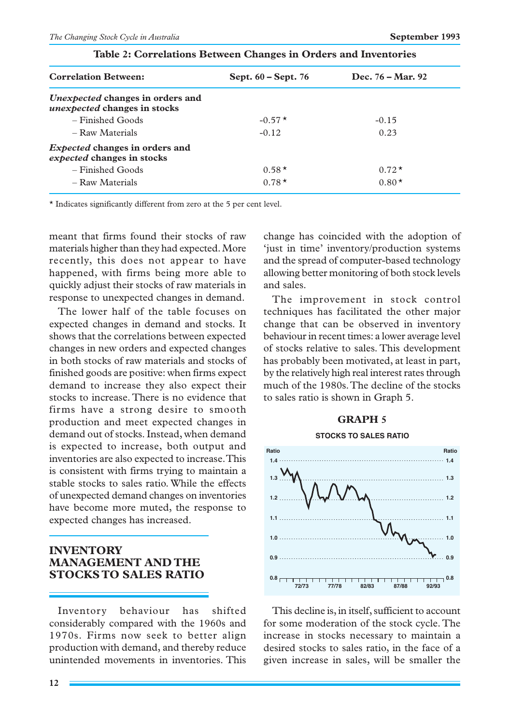| <b>Correlation Between:</b>                                             | Sept. $60 - Sept.76$ | Dec. $76 - Mar. 92$ |  |
|-------------------------------------------------------------------------|----------------------|---------------------|--|
| Unexpected changes in orders and<br><i>unexpected</i> changes in stocks |                      |                     |  |
| $-$ Finished Goods                                                      | $-0.57*$             | $-0.15$             |  |
| - Raw Materials                                                         | $-0.12$              | 0.23                |  |
| <i>Expected</i> changes in orders and<br>expected changes in stocks     |                      |                     |  |
| $-$ Finished Goods                                                      | $0.58*$              | $0.72*$             |  |
| - Raw Materials                                                         | $0.78*$              | $0.80*$             |  |

### **Table 2: Correlations Between Changes in Orders and Inventories**

\* Indicates significantly different from zero at the 5 per cent level.

meant that firms found their stocks of raw materials higher than they had expected. More recently, this does not appear to have happened, with firms being more able to quickly adjust their stocks of raw materials in response to unexpected changes in demand.

The lower half of the table focuses on expected changes in demand and stocks. It shows that the correlations between expected changes in new orders and expected changes in both stocks of raw materials and stocks of finished goods are positive: when firms expect demand to increase they also expect their stocks to increase. There is no evidence that firms have a strong desire to smooth production and meet expected changes in demand out of stocks. Instead, when demand is expected to increase, both output and inventories are also expected to increase. This is consistent with firms trying to maintain a stable stocks to sales ratio. While the effects of unexpected demand changes on inventories have become more muted, the response to expected changes has increased.

## **INVENTORY MANAGEMENT AND THE STOCKS TO SALES RATIO**

Inventory behaviour has shifted considerably compared with the 1960s and 1970s. Firms now seek to better align production with demand, and thereby reduce unintended movements in inventories. This change has coincided with the adoption of 'just in time' inventory/production systems and the spread of computer-based technology allowing better monitoring of both stock levels and sales.

The improvement in stock control techniques has facilitated the other major change that can be observed in inventory behaviour in recent times: a lower average level of stocks relative to sales. This development has probably been motivated, at least in part, by the relatively high real interest rates through much of the 1980s. The decline of the stocks to sales ratio is shown in Graph 5.

### **GRAPH 5**





This decline is, in itself, sufficient to account for some moderation of the stock cycle. The increase in stocks necessary to maintain a desired stocks to sales ratio, in the face of a given increase in sales, will be smaller the